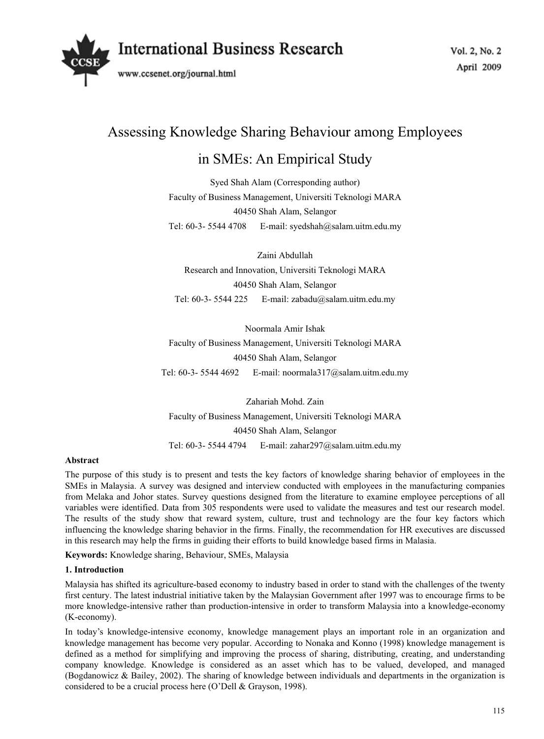

# Assessing Knowledge Sharing Behaviour among Employees

# in SMEs: An Empirical Study

Syed Shah Alam (Corresponding author) Faculty of Business Management, Universiti Teknologi MARA 40450 Shah Alam, Selangor Tel: 60-3- 5544 4708 E-mail: syedshah@salam.uitm.edu.my

Zaini Abdullah Research and Innovation, Universiti Teknologi MARA 40450 Shah Alam, Selangor Tel: 60-3- 5544 225 E-mail: zabadu@salam.uitm.edu.my

Noormala Amir Ishak Faculty of Business Management, Universiti Teknologi MARA 40450 Shah Alam, Selangor Tel: 60-3- 5544 4692 E-mail: noormala317@salam.uitm.edu.my

Zahariah Mohd. Zain Faculty of Business Management, Universiti Teknologi MARA 40450 Shah Alam, Selangor Tel: 60-3- 5544 4794 E-mail: zahar297@salam.uitm.edu.my

#### **Abstract**

The purpose of this study is to present and tests the key factors of knowledge sharing behavior of employees in the SMEs in Malaysia. A survey was designed and interview conducted with employees in the manufacturing companies from Melaka and Johor states. Survey questions designed from the literature to examine employee perceptions of all variables were identified. Data from 305 respondents were used to validate the measures and test our research model. The results of the study show that reward system, culture, trust and technology are the four key factors which influencing the knowledge sharing behavior in the firms. Finally, the recommendation for HR executives are discussed in this research may help the firms in guiding their efforts to build knowledge based firms in Malasia.

**Keywords:** Knowledge sharing, Behaviour, SMEs, Malaysia

#### **1. Introduction**

Malaysia has shifted its agriculture-based economy to industry based in order to stand with the challenges of the twenty first century. The latest industrial initiative taken by the Malaysian Government after 1997 was to encourage firms to be more knowledge-intensive rather than production-intensive in order to transform Malaysia into a knowledge-economy (K-economy).

In today's knowledge-intensive economy, knowledge management plays an important role in an organization and knowledge management has become very popular. According to Nonaka and Konno (1998) knowledge management is defined as a method for simplifying and improving the process of sharing, distributing, creating, and understanding company knowledge. Knowledge is considered as an asset which has to be valued, developed, and managed (Bogdanowicz & Bailey, 2002). The sharing of knowledge between individuals and departments in the organization is considered to be a crucial process here (O'Dell & Grayson, 1998).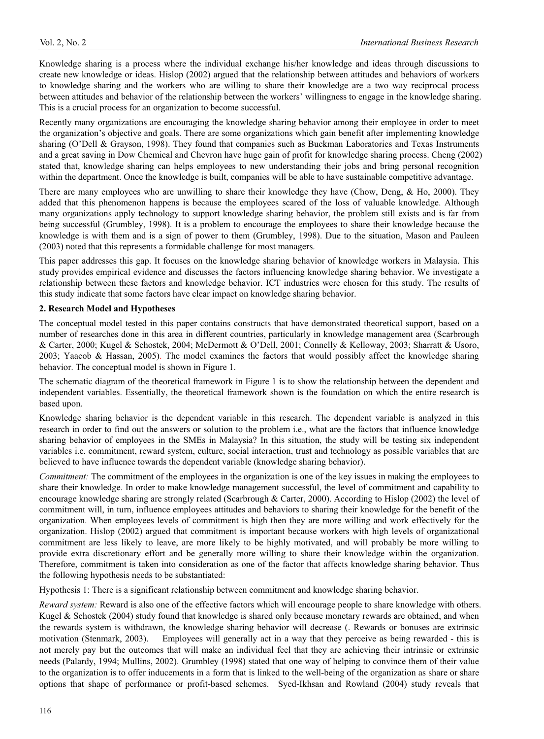Knowledge sharing is a process where the individual exchange his/her knowledge and ideas through discussions to create new knowledge or ideas. Hislop (2002) argued that the relationship between attitudes and behaviors of workers to knowledge sharing and the workers who are willing to share their knowledge are a two way reciprocal process between attitudes and behavior of the relationship between the workers' willingness to engage in the knowledge sharing. This is a crucial process for an organization to become successful.

Recently many organizations are encouraging the knowledge sharing behavior among their employee in order to meet the organization's objective and goals. There are some organizations which gain benefit after implementing knowledge sharing (O'Dell & Grayson, 1998). They found that companies such as Buckman Laboratories and Texas Instruments and a great saving in Dow Chemical and Chevron have huge gain of profit for knowledge sharing process. Cheng (2002) stated that, knowledge sharing can helps employees to new understanding their jobs and bring personal recognition within the department. Once the knowledge is built, companies will be able to have sustainable competitive advantage.

There are many employees who are unwilling to share their knowledge they have (Chow, Deng, & Ho, 2000). They added that this phenomenon happens is because the employees scared of the loss of valuable knowledge. Although many organizations apply technology to support knowledge sharing behavior, the problem still exists and is far from being successful (Grumbley, 1998). It is a problem to encourage the employees to share their knowledge because the knowledge is with them and is a sign of power to them (Grumbley, 1998). Due to the situation, Mason and Pauleen (2003) noted that this represents a formidable challenge for most managers.

This paper addresses this gap. It focuses on the knowledge sharing behavior of knowledge workers in Malaysia. This study provides empirical evidence and discusses the factors influencing knowledge sharing behavior. We investigate a relationship between these factors and knowledge behavior. ICT industries were chosen for this study. The results of this study indicate that some factors have clear impact on knowledge sharing behavior.

#### **2. Research Model and Hypotheses**

The conceptual model tested in this paper contains constructs that have demonstrated theoretical support, based on a number of researches done in this area in different countries, particularly in knowledge management area (Scarbrough & Carter, 2000; Kugel & Schostek, 2004; McDermott & O'Dell, 2001; Connelly & Kelloway, 2003; Sharratt & Usoro, 2003; Yaacob & Hassan, 2005). The model examines the factors that would possibly affect the knowledge sharing behavior. The conceptual model is shown in Figure 1.

The schematic diagram of the theoretical framework in Figure 1 is to show the relationship between the dependent and independent variables. Essentially, the theoretical framework shown is the foundation on which the entire research is based upon.

Knowledge sharing behavior is the dependent variable in this research. The dependent variable is analyzed in this research in order to find out the answers or solution to the problem i.e., what are the factors that influence knowledge sharing behavior of employees in the SMEs in Malaysia? In this situation, the study will be testing six independent variables i.e. commitment, reward system, culture, social interaction, trust and technology as possible variables that are believed to have influence towards the dependent variable (knowledge sharing behavior).

*Commitment:* The commitment of the employees in the organization is one of the key issues in making the employees to share their knowledge. In order to make knowledge management successful, the level of commitment and capability to encourage knowledge sharing are strongly related (Scarbrough & Carter, 2000). According to Hislop (2002) the level of commitment will, in turn, influence employees attitudes and behaviors to sharing their knowledge for the benefit of the organization. When employees levels of commitment is high then they are more willing and work effectively for the organization. Hislop (2002) argued that commitment is important because workers with high levels of organizational commitment are less likely to leave, are more likely to be highly motivated, and will probably be more willing to provide extra discretionary effort and be generally more willing to share their knowledge within the organization. Therefore, commitment is taken into consideration as one of the factor that affects knowledge sharing behavior. Thus the following hypothesis needs to be substantiated:

Hypothesis 1: There is a significant relationship between commitment and knowledge sharing behavior.

*Reward system:* Reward is also one of the effective factors which will encourage people to share knowledge with others. Kugel & Schostek (2004) study found that knowledge is shared only because monetary rewards are obtained, and when the rewards system is withdrawn, the knowledge sharing behavior will decrease (. Rewards or bonuses are extrinsic motivation (Stenmark, 2003). Employees will generally act in a way that they perceive as being rewarded - this is not merely pay but the outcomes that will make an individual feel that they are achieving their intrinsic or extrinsic needs (Palardy, 1994; Mullins, 2002). Grumbley (1998) stated that one way of helping to convince them of their value to the organization is to offer inducements in a form that is linked to the well-being of the organization as share or share options that shape of performance or profit-based schemes. Syed-Ikhsan and Rowland (2004) study reveals that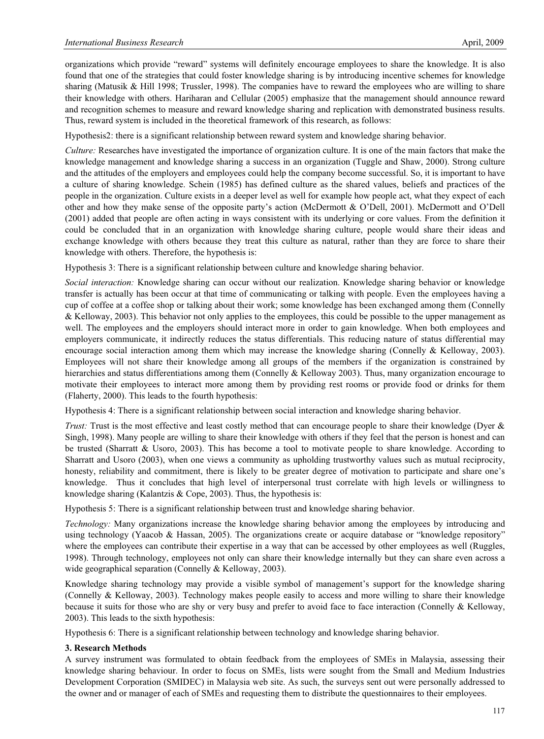organizations which provide "reward" systems will definitely encourage employees to share the knowledge. It is also found that one of the strategies that could foster knowledge sharing is by introducing incentive schemes for knowledge sharing (Matusik & Hill 1998; Trussler, 1998). The companies have to reward the employees who are willing to share their knowledge with others. Hariharan and Cellular (2005) emphasize that the management should announce reward and recognition schemes to measure and reward knowledge sharing and replication with demonstrated business results. Thus, reward system is included in the theoretical framework of this research, as follows:

Hypothesis2: there is a significant relationship between reward system and knowledge sharing behavior.

*Culture:* Researches have investigated the importance of organization culture. It is one of the main factors that make the knowledge management and knowledge sharing a success in an organization (Tuggle and Shaw, 2000). Strong culture and the attitudes of the employers and employees could help the company become successful. So, it is important to have a culture of sharing knowledge. Schein (1985) has defined culture as the shared values, beliefs and practices of the people in the organization. Culture exists in a deeper level as well for example how people act, what they expect of each other and how they make sense of the opposite party's action (McDermott & O'Dell, 2001). McDermott and O'Dell (2001) added that people are often acting in ways consistent with its underlying or core values. From the definition it could be concluded that in an organization with knowledge sharing culture, people would share their ideas and exchange knowledge with others because they treat this culture as natural, rather than they are force to share their knowledge with others. Therefore, the hypothesis is:

Hypothesis 3: There is a significant relationship between culture and knowledge sharing behavior.

*Social interaction:* Knowledge sharing can occur without our realization. Knowledge sharing behavior or knowledge transfer is actually has been occur at that time of communicating or talking with people. Even the employees having a cup of coffee at a coffee shop or talking about their work; some knowledge has been exchanged among them (Connelly & Kelloway, 2003). This behavior not only applies to the employees, this could be possible to the upper management as well. The employees and the employers should interact more in order to gain knowledge. When both employees and employers communicate, it indirectly reduces the status differentials. This reducing nature of status differential may encourage social interaction among them which may increase the knowledge sharing (Connelly & Kelloway, 2003). Employees will not share their knowledge among all groups of the members if the organization is constrained by hierarchies and status differentiations among them (Connelly & Kelloway 2003). Thus, many organization encourage to motivate their employees to interact more among them by providing rest rooms or provide food or drinks for them (Flaherty, 2000). This leads to the fourth hypothesis:

Hypothesis 4: There is a significant relationship between social interaction and knowledge sharing behavior.

*Trust:* Trust is the most effective and least costly method that can encourage people to share their knowledge (Dyer & Singh, 1998). Many people are willing to share their knowledge with others if they feel that the person is honest and can be trusted (Sharratt & Usoro, 2003). This has become a tool to motivate people to share knowledge. According to Sharratt and Usoro (2003), when one views a community as upholding trustworthy values such as mutual reciprocity, honesty, reliability and commitment, there is likely to be greater degree of motivation to participate and share one's knowledge. Thus it concludes that high level of interpersonal trust correlate with high levels or willingness to knowledge sharing (Kalantzis & Cope, 2003). Thus, the hypothesis is:

Hypothesis 5: There is a significant relationship between trust and knowledge sharing behavior.

*Technology:* Many organizations increase the knowledge sharing behavior among the employees by introducing and using technology (Yaacob & Hassan, 2005). The organizations create or acquire database or "knowledge repository" where the employees can contribute their expertise in a way that can be accessed by other employees as well (Ruggles, 1998). Through technology, employees not only can share their knowledge internally but they can share even across a wide geographical separation (Connelly & Kelloway, 2003).

Knowledge sharing technology may provide a visible symbol of management's support for the knowledge sharing (Connelly & Kelloway, 2003). Technology makes people easily to access and more willing to share their knowledge because it suits for those who are shy or very busy and prefer to avoid face to face interaction (Connelly & Kelloway, 2003). This leads to the sixth hypothesis:

Hypothesis 6: There is a significant relationship between technology and knowledge sharing behavior.

#### **3. Research Methods**

A survey instrument was formulated to obtain feedback from the employees of SMEs in Malaysia, assessing their knowledge sharing behaviour. In order to focus on SMEs, lists were sought from the Small and Medium Industries Development Corporation (SMIDEC) in Malaysia web site. As such, the surveys sent out were personally addressed to the owner and or manager of each of SMEs and requesting them to distribute the questionnaires to their employees.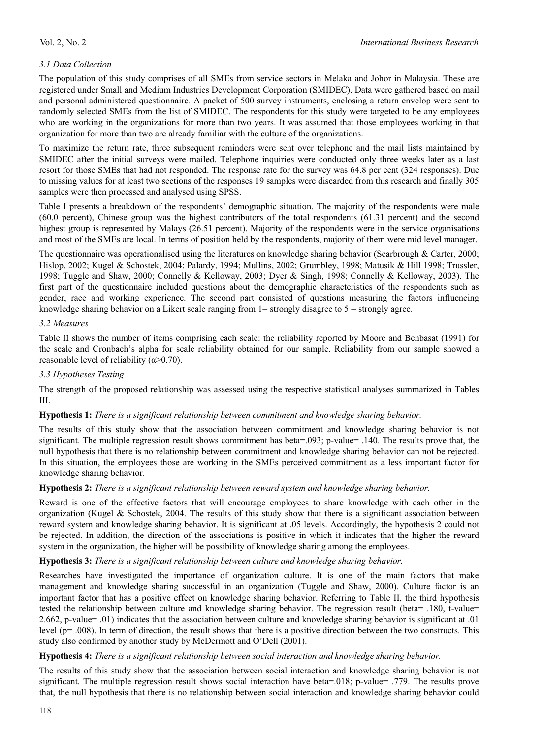### *3.1 Data Collection*

The population of this study comprises of all SMEs from service sectors in Melaka and Johor in Malaysia. These are registered under Small and Medium Industries Development Corporation (SMIDEC). Data were gathered based on mail and personal administered questionnaire. A packet of 500 survey instruments, enclosing a return envelop were sent to randomly selected SMEs from the list of SMIDEC. The respondents for this study were targeted to be any employees who are working in the organizations for more than two years. It was assumed that those employees working in that organization for more than two are already familiar with the culture of the organizations.

To maximize the return rate, three subsequent reminders were sent over telephone and the mail lists maintained by SMIDEC after the initial surveys were mailed. Telephone inquiries were conducted only three weeks later as a last resort for those SMEs that had not responded. The response rate for the survey was 64.8 per cent (324 responses). Due to missing values for at least two sections of the responses 19 samples were discarded from this research and finally 305 samples were then processed and analysed using SPSS.

Table I presents a breakdown of the respondents' demographic situation. The majority of the respondents were male (60.0 percent), Chinese group was the highest contributors of the total respondents (61.31 percent) and the second highest group is represented by Malays (26.51 percent). Majority of the respondents were in the service organisations and most of the SMEs are local. In terms of position held by the respondents, majority of them were mid level manager.

The questionnaire was operationalised using the literatures on knowledge sharing behavior (Scarbrough & Carter, 2000; Hislop, 2002; Kugel & Schostek, 2004; Palardy, 1994; Mullins, 2002; Grumbley, 1998; Matusik & Hill 1998; Trussler, 1998; Tuggle and Shaw, 2000; Connelly & Kelloway, 2003; Dyer & Singh, 1998; Connelly & Kelloway, 2003). The first part of the questionnaire included questions about the demographic characteristics of the respondents such as gender, race and working experience. The second part consisted of questions measuring the factors influencing knowledge sharing behavior on a Likert scale ranging from  $1=$  strongly disagree to  $5 =$  strongly agree.

#### *3.2 Measures*

Table II shows the number of items comprising each scale: the reliability reported by Moore and Benbasat (1991) for the scale and Cronbach's alpha for scale reliability obtained for our sample. Reliability from our sample showed a reasonable level of reliability  $(\alpha > 0.70)$ .

#### *3.3 Hypotheses Testing*

The strength of the proposed relationship was assessed using the respective statistical analyses summarized in Tables III.

#### **Hypothesis 1:** *There is a significant relationship between commitment and knowledge sharing behavior.*

The results of this study show that the association between commitment and knowledge sharing behavior is not significant. The multiple regression result shows commitment has beta=.093; p-value= .140. The results prove that, the null hypothesis that there is no relationship between commitment and knowledge sharing behavior can not be rejected. In this situation, the employees those are working in the SMEs perceived commitment as a less important factor for knowledge sharing behavior.

#### **Hypothesis 2:** *There is a significant relationship between reward system and knowledge sharing behavior.*

Reward is one of the effective factors that will encourage employees to share knowledge with each other in the organization (Kugel & Schostek, 2004. The results of this study show that there is a significant association between reward system and knowledge sharing behavior. It is significant at .05 levels. Accordingly, the hypothesis 2 could not be rejected. In addition, the direction of the associations is positive in which it indicates that the higher the reward system in the organization, the higher will be possibility of knowledge sharing among the employees.

#### **Hypothesis 3:** *There is a significant relationship between culture and knowledge sharing behavior.*

Researches have investigated the importance of organization culture. It is one of the main factors that make management and knowledge sharing successful in an organization (Tuggle and Shaw, 2000). Culture factor is an important factor that has a positive effect on knowledge sharing behavior. Referring to Table II, the third hypothesis tested the relationship between culture and knowledge sharing behavior. The regression result (beta= .180, t-value= 2.662, p-value= .01) indicates that the association between culture and knowledge sharing behavior is significant at .01 level (p= .008). In term of direction, the result shows that there is a positive direction between the two constructs. This study also confirmed by another study by McDermott and O'Dell (2001).

#### **Hypothesis 4:** *There is a significant relationship between social interaction and knowledge sharing behavior.*

The results of this study show that the association between social interaction and knowledge sharing behavior is not significant. The multiple regression result shows social interaction have beta=.018; p-value= .779. The results prove that, the null hypothesis that there is no relationship between social interaction and knowledge sharing behavior could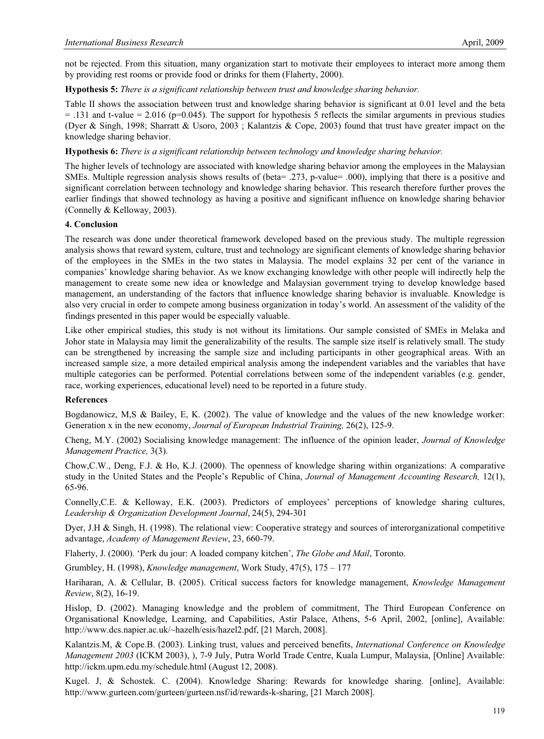not be rejected. From this situation, many organization start to motivate their employees to interact more among them by providing rest rooms or provide food or drinks for them (Flaherty, 2000).

#### **Hypothesis 5:** *There is a significant relationship between trust and knowledge sharing behavior.*

Table II shows the association between trust and knowledge sharing behavior is significant at 0.01 level and the beta  $= .131$  and t-value  $= 2.016$  (p=0.045). The support for hypothesis 5 reflects the similar arguments in previous studies (Dyer & Singh, 1998; Sharratt & Usoro, 2003 ; Kalantzis & Cope, 2003) found that trust have greater impact on the knowledge sharing behavior.

#### **Hypothesis 6:** *There is a significant relationship between technology and knowledge sharing behavior.*

The higher levels of technology are associated with knowledge sharing behavior among the employees in the Malaysian SMEs. Multiple regression analysis shows results of (beta= .273, p-value= .000), implying that there is a positive and significant correlation between technology and knowledge sharing behavior. This research therefore further proves the earlier findings that showed technology as having a positive and significant influence on knowledge sharing behavior (Connelly & Kelloway, 2003).

#### **4. Conclusion**

The research was done under theoretical framework developed based on the previous study. The multiple regression analysis shows that reward system, culture, trust and technology are significant elements of knowledge sharing behavior of the employees in the SMEs in the two states in Malaysia. The model explains 32 per cent of the variance in companies' knowledge sharing behavior. As we know exchanging knowledge with other people will indirectly help the management to create some new idea or knowledge and Malaysian government trying to develop knowledge based management, an understanding of the factors that influence knowledge sharing behavior is invaluable. Knowledge is also very crucial in order to compete among business organization in today's world. An assessment of the validity of the findings presented in this paper would be especially valuable.

Like other empirical studies, this study is not without its limitations. Our sample consisted of SMEs in Melaka and Johor state in Malaysia may limit the generalizability of the results. The sample size itself is relatively small. The study can be strengthened by increasing the sample size and including participants in other geographical areas. With an increased sample size, a more detailed empirical analysis among the independent variables and the variables that have multiple categories can be performed. Potential correlations between some of the independent variables (e.g. gender, race, working experiences, educational level) need to be reported in a future study.

#### **References**

Bogdanowicz, M,S & Bailey, E, K. (2002). The value of knowledge and the values of the new knowledge worker: Generation x in the new economy, *Journal of European Industrial Training,* 26(2), 125-9.

Cheng, M.Y. (2002) Socialising knowledge management: The influence of the opinion leader, *Journal of Knowledge Management Practice,* 3(3).

Chow,C.W., Deng, F.J. & Ho, K.J. (2000). The openness of knowledge sharing within organizations: A comparative study in the United States and the People's Republic of China, *Journal of Management Accounting Research,* 12(1), 65-96.

Connelly,C.E. & Kelloway, E.K. (2003). Predictors of employees' perceptions of knowledge sharing cultures, *Leadership & Organization Development Journal*, 24(5), 294-301

Dyer, J.H & Singh, H. (1998). The relational view: Cooperative strategy and sources of interorganizational competitive advantage, *Academy of Management Review*, 23, 660-79.

Flaherty, J. (2000). 'Perk du jour: A loaded company kitchen', *The Globe and Mail*, Toronto.

Grumbley, H. (1998), *Knowledge management*, Work Study, 47(5), 175 – 177

Hariharan, A. & Cellular, B. (2005). Critical success factors for knowledge management, *Knowledge Management Review*, 8(2), 16-19.

Hislop, D. (2002). Managing knowledge and the problem of commitment, The Third European Conference on Organisational Knowledge, Learning, and Capabilities, Astir Palace, Athens, 5-6 April, 2002, [online], Available: http://www.dcs.napier.ac.uk/~hazelh/esis/hazel2.pdf, [21 March, 2008].

Kalantzis.M, & Cope.B. (2003). Linking trust, values and perceived benefits, *International Conference on Knowledge Management 2003* (ICKM 2003), ), 7-9 July, Putra World Trade Centre, Kuala Lumpur, Malaysia, [Online] Available: http://ickm.upm.edu.my/schedule.html (August 12, 2008).

Kugel. J, & Schostek. C. (2004). Knowledge Sharing: Rewards for knowledge sharing. [online], Available: http://www.gurteen.com/gurteen/gurteen.nsf/id/rewards-k-sharing, [21 March 2008].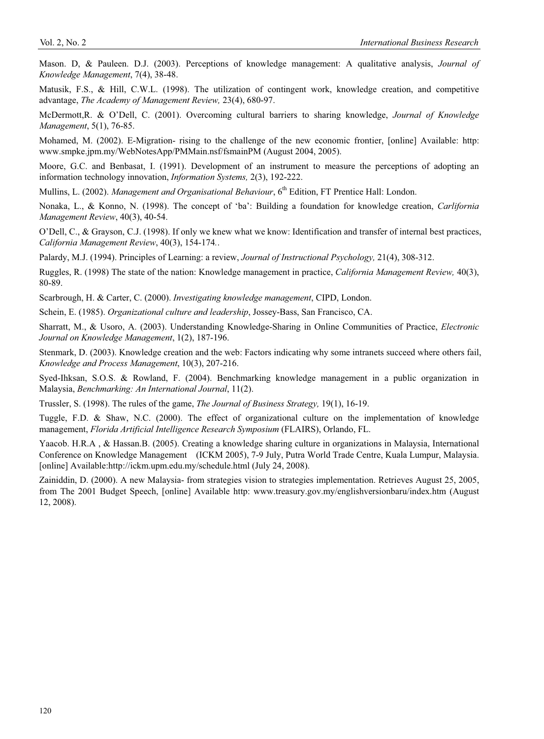Mason. D, & Pauleen. D.J. (2003). Perceptions of knowledge management: A qualitative analysis, *Journal of Knowledge Management*, 7(4), 38-48.

Matusik, F.S., & Hill, C.W.L. (1998). The utilization of contingent work, knowledge creation, and competitive advantage, *The Academy of Management Review,* 23(4), 680-97.

McDermott,R. & O'Dell, C. (2001). Overcoming cultural barriers to sharing knowledge, *Journal of Knowledge Management*, 5(1), 76-85.

Mohamed, M. (2002). E-Migration- rising to the challenge of the new economic frontier, [online] Available: http: www.smpke.jpm.my/WebNotesApp/PMMain.nsf/fsmainPM (August 2004, 2005).

Moore, G.C. and Benbasat, I. (1991). Development of an instrument to measure the perceptions of adopting an information technology innovation, *Information Systems,* 2(3), 192-222.

Mullins, L. (2002). *Management and Organisational Behaviour*, 6<sup>th</sup> Edition, FT Prentice Hall: London.

Nonaka, L., & Konno, N. (1998). The concept of 'ba': Building a foundation for knowledge creation, *Carlifornia Management Review*, 40(3), 40-54.

O'Dell, C., & Grayson, C.J. (1998). If only we knew what we know: Identification and transfer of internal best practices, *California Management Review*, 40(3), 154-174*.*.

Palardy, M.J. (1994). Principles of Learning: a review, *Journal of Instructional Psychology,* 21(4), 308-312.

Ruggles, R. (1998) The state of the nation: Knowledge management in practice, *California Management Review,* 40(3), 80-89.

Scarbrough, H. & Carter, C. (2000). *Investigating knowledge management*, CIPD, London.

Schein, E. (1985). *Organizational culture and leadership*, Jossey-Bass, San Francisco, CA.

Sharratt, M., & Usoro, A. (2003). Understanding Knowledge-Sharing in Online Communities of Practice, *Electronic Journal on Knowledge Management*, 1(2), 187-196.

Stenmark, D. (2003). Knowledge creation and the web: Factors indicating why some intranets succeed where others fail, *Knowledge and Process Management*, 10(3), 207-216.

Syed-Ihksan, S.O.S. & Rowland, F. (2004). Benchmarking knowledge management in a public organization in Malaysia, *Benchmarking: An International Journal*, 11(2).

Trussler, S. (1998). The rules of the game, *The Journal of Business Strategy,* 19(1), 16-19.

Tuggle, F.D. & Shaw, N.C. (2000). The effect of organizational culture on the implementation of knowledge management, *Florida Artificial Intelligence Research Symposium* (FLAIRS), Orlando, FL.

Yaacob. H.R.A , & Hassan.B. (2005). Creating a knowledge sharing culture in organizations in Malaysia, International Conference on Knowledge Management (ICKM 2005), 7-9 July, Putra World Trade Centre, Kuala Lumpur, Malaysia. [online] Available:http://ickm.upm.edu.my/schedule.html (July 24, 2008).

Zainiddin, D. (2000). A new Malaysia- from strategies vision to strategies implementation. Retrieves August 25, 2005, from The 2001 Budget Speech, [online] Available http: www.treasury.gov.my/englishversionbaru/index.htm (August 12, 2008).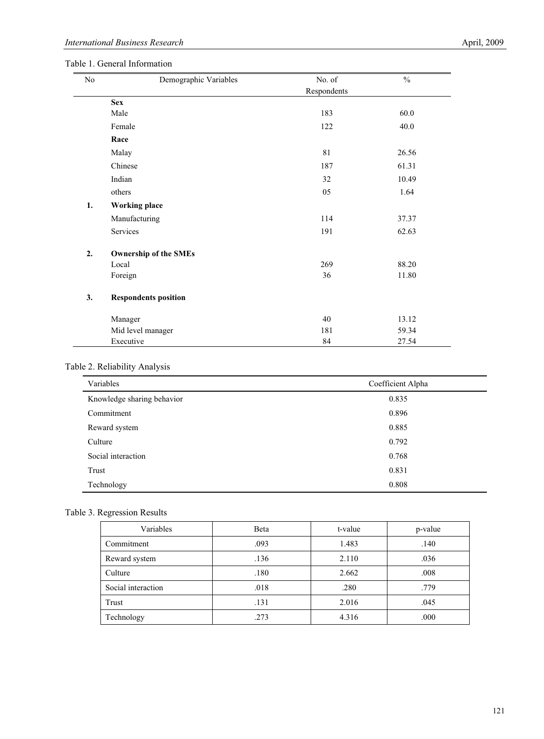| No | Demographic Variables        | No. of      | $\frac{0}{0}$ |  |
|----|------------------------------|-------------|---------------|--|
|    |                              | Respondents |               |  |
|    | <b>Sex</b>                   |             |               |  |
|    | Male                         | 183         | 60.0          |  |
|    | Female                       | 122         | 40.0          |  |
|    | Race                         |             |               |  |
|    | Malay                        | 81          | 26.56         |  |
|    | Chinese                      | 187         | 61.31         |  |
|    | Indian                       | 32          | 10.49         |  |
|    | others                       | 05          | 1.64          |  |
| 1. | <b>Working place</b>         |             |               |  |
|    | Manufacturing                | 114         | 37.37         |  |
|    | Services                     | 191         | 62.63         |  |
| 2. | <b>Ownership of the SMEs</b> |             |               |  |
|    | Local                        | 269         | 88.20         |  |
|    | Foreign                      | 36          | 11.80         |  |
| 3. | <b>Respondents position</b>  |             |               |  |
|    | Manager                      | 40          | 13.12         |  |
|    | Mid level manager            | 181         | 59.34         |  |
|    | Executive                    | 84          | 27.54         |  |

## Table 2. Reliability Analysis

| Variables                  | Coefficient Alpha |  |
|----------------------------|-------------------|--|
| Knowledge sharing behavior | 0.835             |  |
| Commitment                 | 0.896             |  |
| Reward system              | 0.885             |  |
| Culture                    | 0.792             |  |
| Social interaction         | 0.768             |  |
| Trust                      | 0.831             |  |
| Technology                 | 0.808             |  |

#### Table 3. Regression Results

| Variables          | Beta | t-value | p-value |
|--------------------|------|---------|---------|
| Commitment         | .093 | 1.483   | .140    |
| Reward system      | .136 | 2.110   | .036    |
| Culture            | .180 | 2.662   | .008    |
| Social interaction | .018 | .280    | .779    |
| Trust              | .131 | 2.016   | .045    |
| Technology         | .273 | 4.316   | .000    |